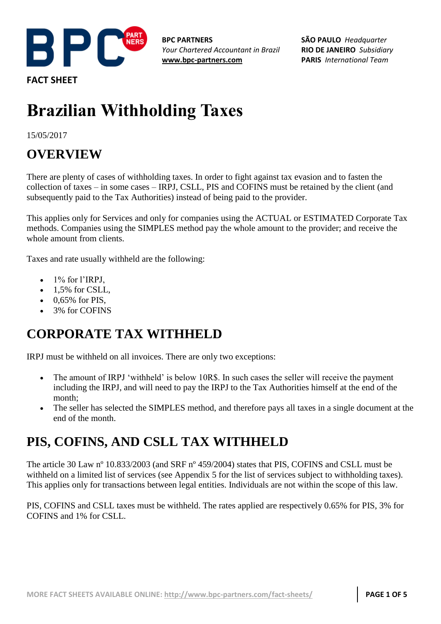

**FACT SHEET**

**BPC PARTNERS** *Your Chartered Accountant in Brazil* **[www.bpc-partners.com](http://www.bpc-partners.com/)**

**SÃO PAULO** *Headquarter* **RIO DE JANEIRO** *Subsidiary* **PARIS** *International Team*

# **Brazilian Withholding Taxes**

15/05/2017

## **OVERVIEW**

There are plenty of cases of withholding taxes. In order to fight against tax evasion and to fasten the collection of taxes – in some cases – IRPJ, CSLL, PIS and COFINS must be retained by the client (and subsequently paid to the Tax Authorities) instead of being paid to the provider.

This applies only for Services and only for companies using the ACTUAL or ESTIMATED Corporate Tax methods. Companies using the SIMPLES method pay the whole amount to the provider; and receive the whole amount from clients.

Taxes and rate usually withheld are the following:

- 1% for l'IRPJ,
- 1,5% for CSLL,
- 0,65% for PIS,
- 3% for COFINS

### **CORPORATE TAX WITHHELD**

IRPJ must be withheld on all invoices. There are only two exceptions:

- The amount of IRPJ 'withheld' is below 10R\$. In such cases the seller will receive the payment including the IRPJ, and will need to pay the IRPJ to the Tax Authorities himself at the end of the month;
- The seller has selected the SIMPLES method, and therefore pays all taxes in a single document at the end of the month.

#### **PIS, COFINS, AND CSLL TAX WITHHELD**

The article 30 Law nº 10.833/2003 (and SRF nº 459/2004) states that PIS, COFINS and CSLL must be withheld on a limited list of services (see Appendix 5 for the list of services subject to withholding taxes). This applies only for transactions between legal entities. Individuals are not within the scope of this law.

PIS, COFINS and CSLL taxes must be withheld. The rates applied are respectively 0.65% for PIS, 3% for COFINS and 1% for CSLL.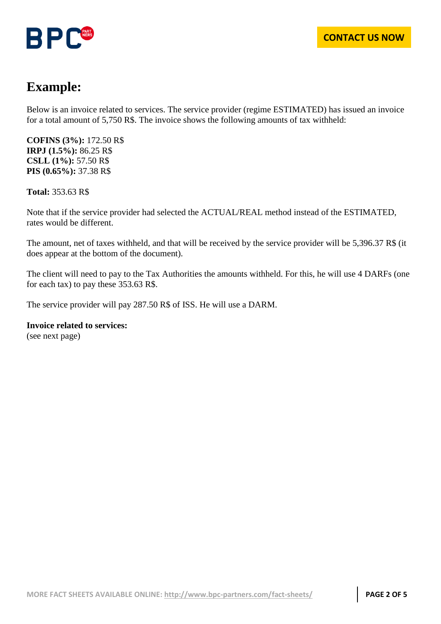



### **Example:**

Below is an invoice related to services. The service provider (regime ESTIMATED) has issued an invoice for a total amount of 5,750 R\$. The invoice shows the following amounts of tax withheld:

**COFINS (3%):** 172.50 R\$ **IRPJ (1.5%):** 86.25 R\$ **CSLL (1%):** 57.50 R\$ **PIS (0.65%):** 37.38 R\$

**Total:** 353.63 R\$

Note that if the service provider had selected the ACTUAL/REAL method instead of the ESTIMATED, rates would be different.

The amount, net of taxes withheld, and that will be received by the service provider will be 5,396.37 R\$ (it does appear at the bottom of the document).

The client will need to pay to the Tax Authorities the amounts withheld. For this, he will use 4 DARFs (one for each tax) to pay these 353.63 R\$.

The service provider will pay 287.50 R\$ of ISS. He will use a DARM.

**Invoice related to services:** (see next page)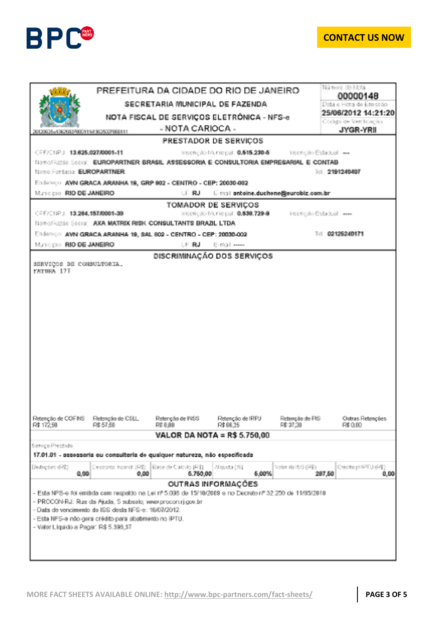

#### **[CONTACT US NOW](http://www.bpc-partners.com/contact-us/)**

|                                                                                           | PREFEITURA DA CIDADE DO RIO DE JANEIRO                      |                                                                                                           |                               |                                                          | Número da Nota<br>00000148        |  |  |  |  |
|-------------------------------------------------------------------------------------------|-------------------------------------------------------------|-----------------------------------------------------------------------------------------------------------|-------------------------------|----------------------------------------------------------|-----------------------------------|--|--|--|--|
|                                                                                           | SECRETARIA MUNICIPAL DE FAZENDA                             |                                                                                                           |                               |                                                          | Deta e Hora de Emissão            |  |  |  |  |
|                                                                                           | NOTA FISCAL DE SERVICOS ELETRÓNICA - NFS-e                  |                                                                                                           |                               |                                                          | 25/06/2012 14:21:20               |  |  |  |  |
| 20120625v13825027000111ii1362502F000111                                                   |                                                             | - NOTA CARIOCA -                                                                                          |                               |                                                          | Oódigo de Veriñoação<br>JYGR-YRII |  |  |  |  |
|                                                                                           |                                                             | PRESTADOR DE SERVICOS                                                                                     |                               |                                                          |                                   |  |  |  |  |
| CPE/CNPJ: 13.625.027/0001-11<br>Inscrição Municipal: 0.515.230-5 - Inscrição Estadual: «» |                                                             |                                                                                                           |                               |                                                          |                                   |  |  |  |  |
| Nome/Fazdo Social EUROPARTNER BRASIL ASSESSORIA E CONSULTORIA EMPRESARIAL E CONTAB        |                                                             |                                                                                                           |                               |                                                          |                                   |  |  |  |  |
| Nome Fentasia: EUROPARTNER                                                                |                                                             |                                                                                                           |                               |                                                          | Tel: 2191240407                   |  |  |  |  |
|                                                                                           |                                                             | Enderson AVN GRACA ARANHA 19, GRP 802 - CENTRO - CEP: 20030-002                                           |                               |                                                          |                                   |  |  |  |  |
| Municipio: RIO DE JANEIRO<br><b>LE RJ</b><br>E-mail: antoine.duchene@eurobiz.com.br       |                                                             |                                                                                                           |                               |                                                          |                                   |  |  |  |  |
|                                                                                           |                                                             | TOMADOR DE SERVICOS                                                                                       |                               |                                                          |                                   |  |  |  |  |
| CRE/CNP.J: 13.204.157/0001-39                                                             |                                                             |                                                                                                           |                               | Inscrição Municipal: 0,538,729-9 Inscrição Estadual: === |                                   |  |  |  |  |
|                                                                                           |                                                             | Nome/Fazzán Social: AXA MATRIX RISK CONSULTANTS BRAZIL LTDA                                               |                               |                                                          |                                   |  |  |  |  |
| Municipie: RIO DE JANEIRO                                                                 |                                                             | Enderson AVN GRACA ARANHA 19, SAL 802 - CENTRO - CEP: 20030-002<br>LE: RJ.                                | E-mail: -----                 |                                                          | T-1 02126240171                   |  |  |  |  |
|                                                                                           |                                                             |                                                                                                           |                               |                                                          |                                   |  |  |  |  |
| SERVIÇOS DE CONSULTORIA.                                                                  |                                                             |                                                                                                           | DISCRIMINAÇÃO DOS SERVIÇOS    |                                                          |                                   |  |  |  |  |
| ENTURA 177                                                                                |                                                             |                                                                                                           |                               |                                                          |                                   |  |  |  |  |
|                                                                                           |                                                             |                                                                                                           |                               |                                                          |                                   |  |  |  |  |
|                                                                                           |                                                             |                                                                                                           |                               |                                                          |                                   |  |  |  |  |
|                                                                                           |                                                             |                                                                                                           |                               |                                                          |                                   |  |  |  |  |
|                                                                                           |                                                             |                                                                                                           |                               |                                                          |                                   |  |  |  |  |
|                                                                                           |                                                             |                                                                                                           |                               |                                                          |                                   |  |  |  |  |
|                                                                                           |                                                             |                                                                                                           |                               |                                                          |                                   |  |  |  |  |
|                                                                                           |                                                             |                                                                                                           |                               |                                                          |                                   |  |  |  |  |
|                                                                                           |                                                             |                                                                                                           |                               |                                                          |                                   |  |  |  |  |
|                                                                                           |                                                             |                                                                                                           |                               |                                                          |                                   |  |  |  |  |
|                                                                                           |                                                             |                                                                                                           |                               |                                                          |                                   |  |  |  |  |
|                                                                                           |                                                             |                                                                                                           |                               |                                                          |                                   |  |  |  |  |
|                                                                                           |                                                             |                                                                                                           |                               |                                                          |                                   |  |  |  |  |
|                                                                                           |                                                             |                                                                                                           |                               |                                                          |                                   |  |  |  |  |
| Retenctionte COFINS                                                                       |                                                             |                                                                                                           |                               |                                                          | Outras Retencões                  |  |  |  |  |
| R\$ 172.50                                                                                | Fletoncão do CSLL.<br>FS 57.50                              | Retenção de INSS<br>R\$ 0.00                                                                              | Retenção de IRPJ.<br>F\$98.25 | Retenção de PIS<br>F/D 37.38                             | FS 0.00                           |  |  |  |  |
|                                                                                           |                                                             | <b>VALOR DA NOTA = R\$ 5.750.00</b>                                                                       |                               |                                                          |                                   |  |  |  |  |
| Servico Prestado                                                                          |                                                             |                                                                                                           |                               |                                                          |                                   |  |  |  |  |
|                                                                                           |                                                             | 17.01.01 - assessoria ou consultaria de qualquer natureza, não especificada                               |                               |                                                          |                                   |  |  |  |  |
| Deducties (R\$)                                                                           | Desmote incord IRSI                                         | Ease de Calculo (R.D.                                                                                     | Alicuota (%).                 | Vizion do 153 (RS).                                      | Crécito pri PTU (R\$)             |  |  |  |  |
| 0,00                                                                                      | 0.00                                                        | 5,750.00                                                                                                  | 5,00%                         | 287.50                                                   | 0.00                              |  |  |  |  |
|                                                                                           |                                                             |                                                                                                           | <b>OUTRAS INFORMAÇÕES</b>     |                                                          |                                   |  |  |  |  |
|                                                                                           | - PROCON-RJ: Rua da Ajuda, 5 subseto; www.procon.rj.gov.br. | - Esta NFS-e foi emitida com respaldo na Lei nº 5.098 de 15/10/2009 e no Decreto nº 32.250 de 11/05/2010. |                               |                                                          |                                   |  |  |  |  |
|                                                                                           | - Data de vencimento do ISS desta NFS-e: 18/07/2012.        |                                                                                                           |                               |                                                          |                                   |  |  |  |  |
| - Esta NFS-e não gera crédito para sbatimento no IPTU.                                    |                                                             |                                                                                                           |                               |                                                          |                                   |  |  |  |  |
| - Valor Liquido a Pagar, R\$ 5,396.37                                                     |                                                             |                                                                                                           |                               |                                                          |                                   |  |  |  |  |
|                                                                                           |                                                             |                                                                                                           |                               |                                                          |                                   |  |  |  |  |
|                                                                                           |                                                             |                                                                                                           |                               |                                                          |                                   |  |  |  |  |
|                                                                                           |                                                             |                                                                                                           |                               |                                                          |                                   |  |  |  |  |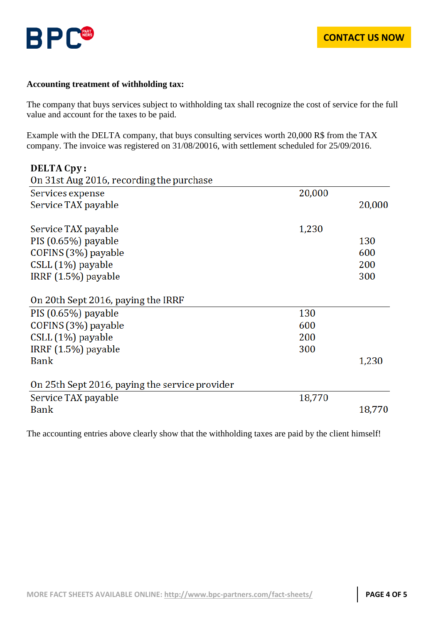

#### **Accounting treatment of withholding tax:**

The company that buys services subject to withholding tax shall recognize the cost of service for the full value and account for the taxes to be paid.

Example with the DELTA company, that buys consulting services worth 20,000 R\$ from the TAX company. The invoice was registered on 31/08/20016, with settlement scheduled for 25/09/2016.

| DELTA Cpy:                                     |        |        |
|------------------------------------------------|--------|--------|
| On 31st Aug 2016, recording the purchase       |        |        |
| Services expense                               | 20,000 |        |
| Service TAX payable                            |        | 20,000 |
| Service TAX payable                            | 1,230  |        |
| PIS (0.65%) payable                            |        | 130    |
| COFINS (3%) payable                            |        | 600    |
| CSLL (1%) payable                              |        | 200    |
| IRRF $(1.5\%)$ payable                         |        | 300    |
| On 20th Sept 2016, paying the IRRF             |        |        |
| PIS (0.65%) payable                            | 130    |        |
| COFINS (3%) payable                            | 600    |        |
| CSLL (1%) payable                              | 200    |        |
| IRRF (1.5%) payable                            | 300    |        |
| Bank                                           |        | 1,230  |
| On 25th Sept 2016, paying the service provider |        |        |
| Service TAX payable                            | 18,770 |        |
| <b>Bank</b>                                    |        | 18,770 |

The accounting entries above clearly show that the withholding taxes are paid by the client himself!